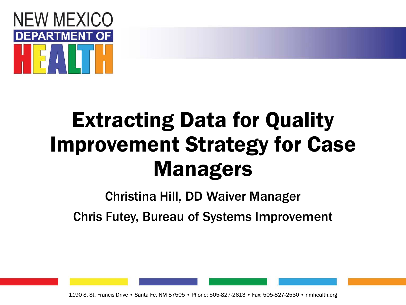

#### Extracting Data for Quality Improvement Strategy for Case Managers

#### Christina Hill, DD Waiver Manager Chris Futey, Bureau of Systems Improvement

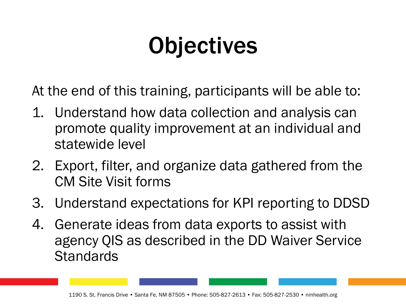### **Objectives**

At the end of this training, participants will be able to:

- 1. Understand how data collection and analysis can promote quality improvement at an individual and statewide level
- 2. Export, filter, and organize data gathered from the CM Site Visit forms
- 3. Understand expectations for KPI reporting to DDSD
- 4. Generate ideas from data exports to assist with agency QIS as described in the DD Waiver Service **Standards**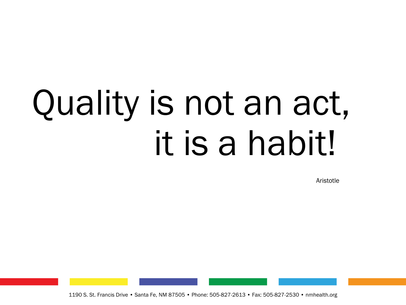# Quality is not an act, it is a habit!

Aristotle

1190 S. St. Francis Drive • Santa Fe, NM 87505 • Phone: 505-827-2613 • Fax: 505-827-2530 • nmhealth.org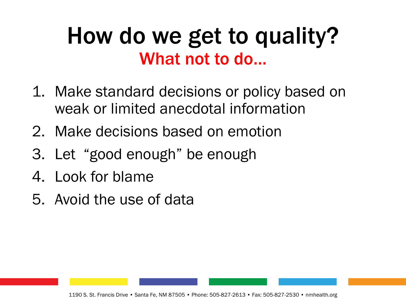#### How do we get to quality? What not to do…

- 1. Make standard decisions or policy based on weak or limited anecdotal information
- 2. Make decisions based on emotion
- 3. Let "good enough" be enough
- 4. Look for blame
- 5. Avoid the use of data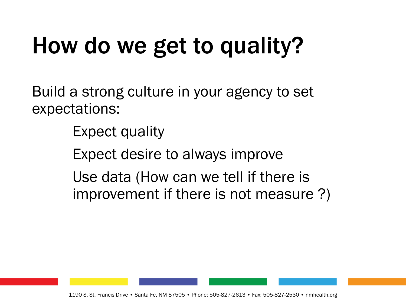# How do we get to quality?

Build a strong culture in your agency to set expectations:

Expect quality

Expect desire to always improve

Use data (How can we tell if there is improvement if there is not measure ?)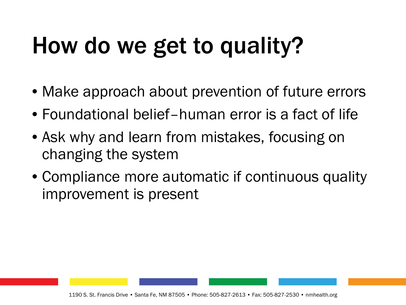# How do we get to quality?

- Make approach about prevention of future errors
- Foundational belief–human error is a fact of life
- Ask why and learn from mistakes, focusing on changing the system
- Compliance more automatic if continuous quality improvement is present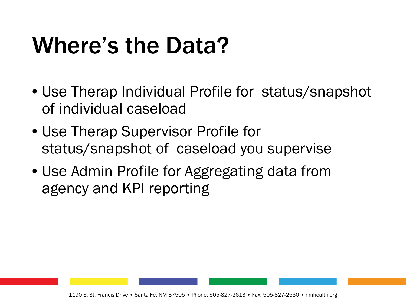- Use Therap Individual Profile for status/snapshot of individual caseload
- Use Therap Supervisor Profile for status/snapshot of caseload you supervise
- Use Admin Profile for Aggregating data from agency and KPI reporting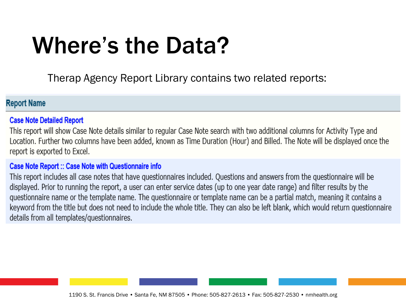Therap Agency Report Library contains two related reports:

#### **Report Name**

#### **Case Note Detailed Report**

This report will show Case Note details similar to regular Case Note search with two additional columns for Activity Type and Location. Further two columns have been added, known as Time Duration (Hour) and Billed. The Note will be displayed once the report is exported to Excel.

#### **Case Note Report :: Case Note with Questionnaire info**

This report includes all case notes that have questionnaires included. Questions and answers from the questionnaire will be displayed. Prior to running the report, a user can enter service dates (up to one year date range) and filter results by the questionnaire name or the template name. The questionnaire or template name can be a partial match, meaning it contains a keyword from the title but does not need to include the whole title. They can also be left blank, which would return questionnaire details from all templates/questionnaires.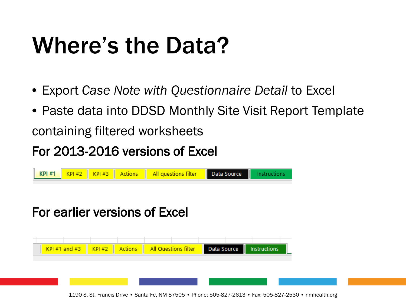- Export *Case Note with Questionnaire Detail* to Excel
- Paste data into DDSD Monthly Site Visit Report Template containing filtered worksheets

#### For 2013-2016 versions of Excel



#### For earlier versions of Excel

| $KPI #1$ and #3 $\parallel$ KPI #2 $\parallel$ Actions $\parallel$ All Questions filter | Data Source | Instructions |
|-----------------------------------------------------------------------------------------|-------------|--------------|
|                                                                                         |             |              |
|                                                                                         |             |              |
|                                                                                         |             |              |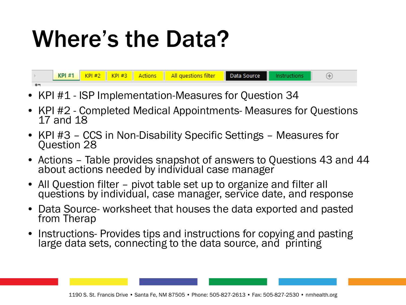

- KPI #1 ISP Implementation-Measures for Question 34
- KPI #2 Completed Medical Appointments- Measures for Questions 17 and 18
- KPI #3 CCS in Non-Disability Specific Settings Measures for Question 28
- Actions Table provides snapshot of answers to Questions 43 and 44 about actions needed by individual case manager
- All Question filter pivot table set up to organize and filter all questions by individual, case manager, service date, and response
- Data Source- worksheet that houses the data exported and pasted from Therap
- Instructions- Provides tips and instructions for copying and pasting large data sets, connecting to the data source, and printing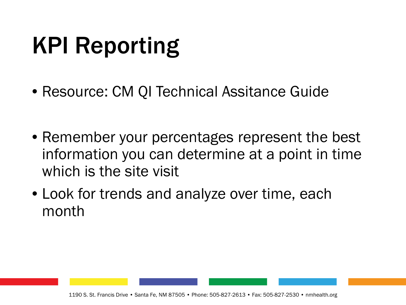### KPI Reporting

- Resource: CM QI Technical Assitance Guide
- Remember your percentages represent the best information you can determine at a point in time which is the site visit
- Look for trends and analyze over time, each month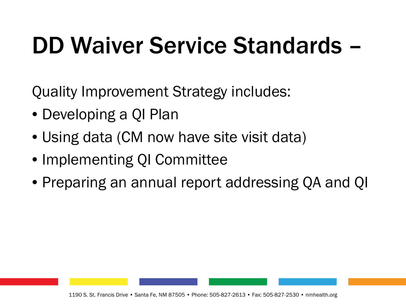### DD Waiver Service Standards –

Quality Improvement Strategy includes:

- Developing a QI Plan
- Using data (CM now have site visit data)
- Implementing QI Committee
- Preparing an annual report addressing QA and QI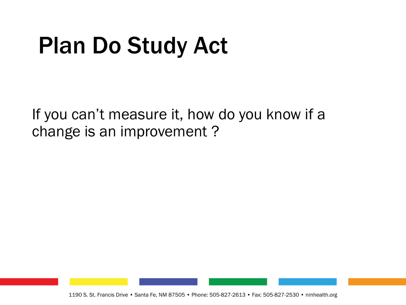### Plan Do Study Act

If you can't measure it, how do you know if a change is an improvement ?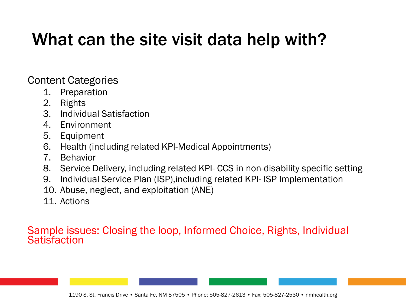#### What can the site visit data help with?

Content Categories

- 1. Preparation
- 2. Rights
- 3. Individual Satisfaction
- 4. Environment
- 5. Equipment
- 6. Health (including related KPI-Medical Appointments)
- 7. Behavior
- 8. Service Delivery, including related KPI- CCS in non-disability specific setting
- 9. Individual Service Plan (ISP),including related KPI- ISP Implementation
- 10. Abuse, neglect, and exploitation (ANE)
- 11. Actions

#### Sample issues: Closing the loop, Informed Choice, Rights, Individual **Satisfaction**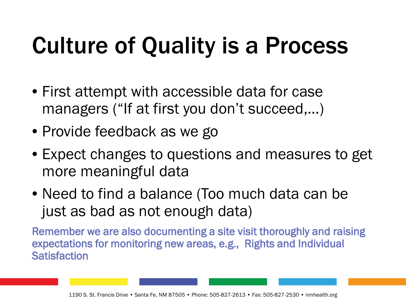# Culture of Quality is a Process

- First attempt with accessible data for case managers ("If at first you don't succeed,...)
- Provide feedback as we go
- Expect changes to questions and measures to get more meaningful data
- Need to find a balance (Too much data can be just as bad as not enough data)

Remember we are also documenting a site visit thoroughly and raising expectations for monitoring new areas, e.g., Rights and Individual **Satisfaction**